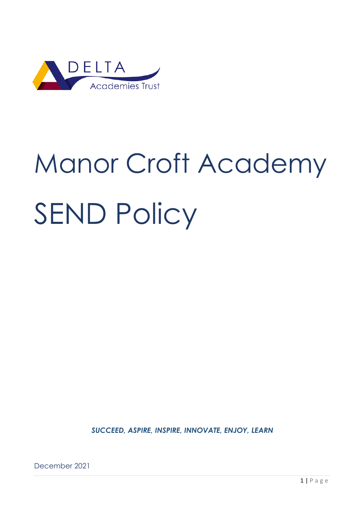

# Manor Croft Academy SEND Policy

*SUCCEED, ASPIRE, INSPIRE, INNOVATE, ENJOY, LEARN*

December 2021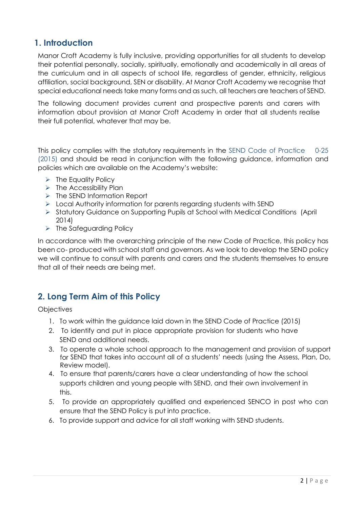# **1. Introduction**

Manor Croft Academy is fully inclusive, providing opportunities for all students to develop their potential personally, socially, spiritually, emotionally and academically in all areas of the curriculum and in all aspects of school life, regardless of gender, ethnicity, religious affiliation, social background, SEN or disability. At Manor Croft Academy we recognise that special educational needs take many forms and as such, all teachers are teachers of SEND.

The following document provides current and prospective parents and carers with information about provision at Manor Croft Academy in order that all students realise their full potential, whatever that may be.

This policy complies with the statutory requirements in the SEND Code of Practice 0-25 (2015) and should be read in conjunction with the following guidance, information and policies which are available on the Academy's website:

- $\triangleright$  The Equality Policy
- $\triangleright$  The Accessibility Plan
- ➢ The SEND Information Report
- ➢ Local Authority information for parents regarding students with SEND
- ➢ Statutory Guidance on Supporting Pupils at School with Medical Conditions (April 2014)
- ➢ The Safeguarding Policy

In accordance with the overarching principle of the new Code of Practice, this policy has been co- produced with school staff and governors. As we look to develop the SEND policy we will continue to consult with parents and carers and the students themselves to ensure that all of their needs are being met.

# **2. Long Term Aim of this Policy**

**Objectives** 

- 1. To work within the guidance laid down in the SEND Code of Practice (2015)
- 2. To identify and put in place appropriate provision for students who have SEND and additional needs.
- 3. To operate a whole school approach to the management and provision of support for SEND that takes into account all of a students' needs (using the Assess, Plan, Do, Review model).
- 4. To ensure that parents/carers have a clear understanding of how the school supports children and young people with SEND, and their own involvement in this.
- 5. To provide an appropriately qualified and experienced SENCO in post who can ensure that the SEND Policy is put into practice.
- 6. To provide support and advice for all staff working with SEND students.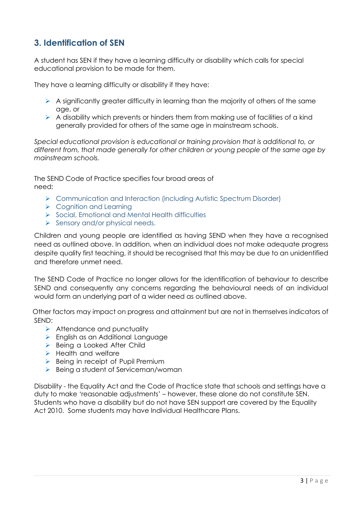# **3. Identification of SEN**

A student has SEN if they have a learning difficulty or disability which calls for special educational provision to be made for them.

They have a learning difficulty or disability if they have:

- $\triangleright$  A significantly greater difficulty in learning than the majority of others of the same age, or
- $\triangleright$  A disability which prevents or hinders them from making use of facilities of a kind generally provided for others of the same age in mainstream schools.

*Special educational provision is educational or training provision that is additional to, or different from, that made generally for other children or young people of the same age by mainstream schools.* 

The SEND Code of Practice specifies four broad areas of need:

- ➢ Communication and Interaction (including Autistic Spectrum Disorder)
- ➢ Cognition and Learning
- ➢ Social, Emotional and Mental Health difficulties
- ➢ Sensory and/or physical needs.

Children and young people are identified as having SEND when they have a recognised need as outlined above. In addition, when an individual does not make adequate progress despite quality first teaching, it should be recognised that this may be due to an unidentified and therefore unmet need.

The SEND Code of Practice no longer allows for the identification of behaviour to describe SEND and consequently any concerns regarding the behavioural needs of an individual would form an underlying part of a wider need as outlined above.

Other factors may impact on progress and attainment but are not in themselves indicators of SEND:

- ➢ Attendance and punctuality
- ➢ English as an Additional Language
- ➢ Being a Looked After Child
- ➢ Health and welfare
- ➢ Being in receipt of Pupil Premium
- ➢ Being a student of Serviceman/woman

Disability - the Equality Act and the Code of Practice state that schools and settings have a duty to make 'reasonable adjustments' – however, these alone do not constitute SEN. Students who have a disability but do not have SEN support are covered by the Equality Act 2010. Some students may have Individual Healthcare Plans.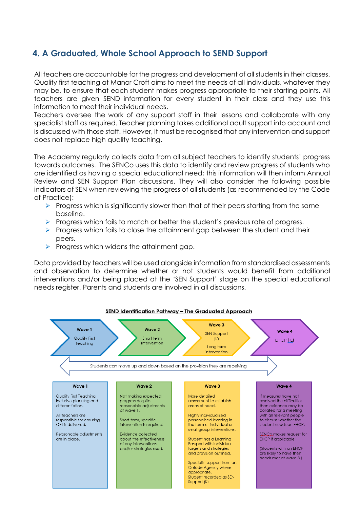# **4. A Graduated, Whole School Approach to SEND Support**

All teachers are accountable for the progress and development of all students in their classes. Quality first teaching at Manor Croft aims to meet the needs of all individuals, whatever they may be, to ensure that each student makes progress appropriate to their starting points. All teachers are given SEND information for every student in their class and they use this information to meet their individual needs.

Teachers oversee the work of any support staff in their lessons and collaborate with any specialist staff as required. Teacher planning takes additional adult support into account and is discussed with those staff. However, it must be recognised that any intervention and support does not replace high quality teaching.

The Academy regularly collects data from all subject teachers to identify students' progress towards outcomes. The SENCo uses this data to identify and review progress of students who are identified as having a special educational need; this information will then inform Annual Review and SEN Support Plan discussions. They will also consider the following possible indicators of SEN when reviewing the progress of all students (as recommended by the Code of Practice):

- ➢ Progress which is significantly slower than that of their peers starting from the same baseline.
- ➢ Progress which fails to match or better the student's previous rate of progress.
- $\triangleright$  Progress which fails to close the attainment gap between the student and their peers.
- $\triangleright$  Progress which widens the attainment gap.

Data provided by teachers will be used alongside information from standardised assessments and observation to determine whether or not students would benefit from additional interventions and/or being placed at the 'SEN Support' stage on the special educational needs register. Parents and students are involved in all discussions.

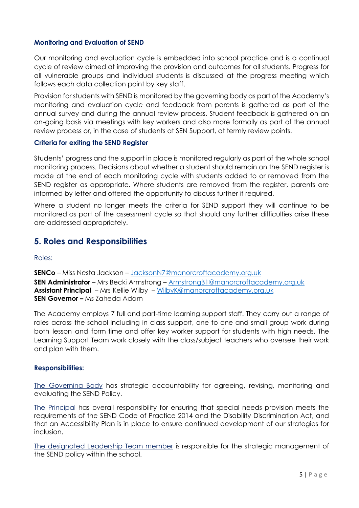#### **Monitoring and Evaluation of SEND**

Our monitoring and evaluation cycle is embedded into school practice and is a continual cycle of review aimed at improving the provision and outcomes for all students. Progress for all vulnerable groups and individual students is discussed at the progress meeting which follows each data collection point by key staff.

Provision for students with SEND is monitored by the governing body as part of the Academy's monitoring and evaluation cycle and feedback from parents is gathered as part of the annual survey and during the annual review process. Student feedback is gathered on an on-going basis via meetings with key workers and also more formally as part of the annual review process or, in the case of students at SEN Support, at termly review points.

#### **Criteria for exiting the SEND Register**

Students' progress and the support in place is monitored regularly as part of the whole school monitoring process. Decisions about whether a student should remain on the SEND register is made at the end of each monitoring cycle with students added to or removed from the SEND register as appropriate. Where students are removed from the register, parents are informed by letter and offered the opportunity to discuss further if required.

Where a student no longer meets the criteria for SEND support they will continue to be monitored as part of the assessment cycle so that should any further difficulties arise these are addressed appropriately.

## **5. Roles and Responsibilities**

#### Roles:

**SENCo** – Miss Nesta Jackson – [JacksonN7@manorcroftacademy.org.uk](mailto:JacksonN7@manorcroftacademy.org.uk) **SEN Administrator** – Mrs Becki Armstrong – [ArmstrongB1@manorcroftacademy.org.uk](mailto:ArmstrongB1@manorcroftacademy.org.uk) **Assistant Principal** – Mrs Kellie Wilby – [WilbyK@manorcroftacademy.org.uk](mailto:WilbyK@manorcroftacademy.org.uk) **SEN Governor –** Ms Zaheda Adam

The Academy employs 7 full and part-time learning support staff. They carry out a range of roles across the school including in class support, one to one and small group work during both lesson and form time and offer key worker support for students with high needs. The Learning Support Team work closely with the class/subject teachers who oversee their work and plan with them.

#### **Responsibilities:**

The Governing Body has strategic accountability for agreeing, revising, monitoring and evaluating the SEND Policy.

The Principal has overall responsibility for ensuring that special needs provision meets the requirements of the SEND Code of Practice 2014 and the Disability Discrimination Act, and that an Accessibility Plan is in place to ensure continued development of our strategies for inclusion.

The designated Leadership Team member is responsible for the strategic management of the SEND policy within the school.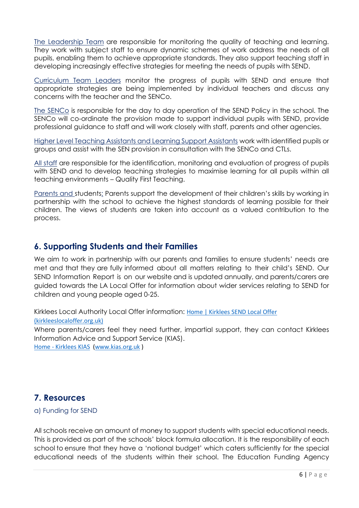The Leadership Team are responsible for monitoring the quality of teaching and learning. They work with subject staff to ensure dynamic schemes of work address the needs of all pupils, enabling them to achieve appropriate standards. They also support teaching staff in developing increasingly effective strategies for meeting the needs of pupils with SEND.

Curriculum Team Leaders monitor the progress of pupils with SEND and ensure that appropriate strategies are being implemented by individual teachers and discuss any concerns with the teacher and the SENCo.

The SENCo is responsible for the day to day operation of the SEND Policy in the school. The SENCo will co-ordinate the provision made to support individual pupils with SEND, provide professional guidance to staff and will work closely with staff, parents and other agencies.

Higher Level Teaching Assistants and Learning Support Assistants work with identified pupils or groups and assist with the SEN provision in consultation with the SENCo and CTLs.

All staff are responsible for the identification, monitoring and evaluation of progress of pupils with SEND and to develop teaching strategies to maximise learning for all pupils within all teaching environments – Quality First Teaching.

Parents and students: Parents support the development of their children's skills by working in partnership with the school to achieve the highest standards of learning possible for their children. The views of students are taken into account as a valued contribution to the process.

## **6. Supporting Students and their Families**

We aim to work in partnership with our parents and families to ensure students' needs are met and that they are fully informed about all matters relating to their child's SEND. Our SEND Information Report is on our website and is updated annually, and parents/carers are guided towards the LA Local Offer for information about wider services relating to SEND for children and young people aged 0-25.

Kirklees Local Authority Local Offer information: [Home | Kirklees SEND Local Offer](https://www.kirkleeslocaloffer.org.uk/) 

[\(kirkleeslocaloffer.org.uk\)](https://www.kirkleeslocaloffer.org.uk/)

Where parents/carers feel they need further, impartial support, they can contact Kirklees Information Advice and Support Service (KIAS).

Home - [Kirklees KIAS](https://www.kias.org.uk/) [\(www.kias.org.uk](http://www.kias.org.uk/) )

# **7. Resources**

a) Funding for SEND

All schools receive an amount of money to support students with special educational needs. This is provided as part of the schools' block formula allocation. It is the responsibility of each school to ensure that they have a 'notional budget' which caters sufficiently for the special educational needs of the students within their school. The Education Funding Agency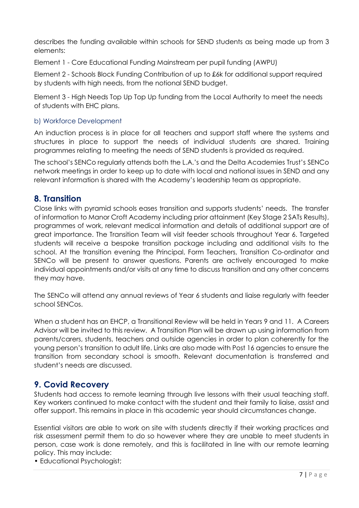describes the funding available within schools for SEND students as being made up from 3 elements:

Element 1 - Core Educational Funding Mainstream per pupil funding (AWPU)

Element 2 - Schools Block Funding Contribution of up to £6k for additional support required by students with high needs, from the notional SEND budget.

Element 3 - High Needs Top Up Top Up funding from the Local Authority to meet the needs of students with EHC plans.

#### b) Workforce Development

An induction process is in place for all teachers and support staff where the systems and structures in place to support the needs of individual students are shared. Training programmes relating to meeting the needs of SEND students is provided as required.

The school's SENCo regularly attends both the L.A.'s and the Delta Academies Trust's SENCo network meetings in order to keep up to date with local and national issues in SEND and any relevant information is shared with the Academy's leadership team as appropriate.

### **8. Transition**

Close links with pyramid schools eases transition and supports students' needs. The transfer of information to Manor Croft Academy including prior attainment (Key Stage 2 SATs Results), programmes of work, relevant medical information and details of additional support are of great importance. The Transition Team will visit feeder schools throughout Year 6. Targeted students will receive a bespoke transition package including and additional visits to the school. At the transition evening the Principal, Form Teachers, Transition Co-ordinator and SENCo will be present to answer questions. Parents are actively encouraged to make individual appointments and/or visits at any time to discuss transition and any other concerns they may have.

The SENCo will attend any annual reviews of Year 6 students and liaise regularly with feeder school SENCos.

When a student has an EHCP, a Transitional Review will be held in Years 9 and 11. A Careers Advisor will be invited to this review. A Transition Plan will be drawn up using information from parents/carers, students, teachers and outside agencies in order to plan coherently for the young person's transition to adult life. Links are also made with Post 16 agencies to ensure the transition from secondary school is smooth. Relevant documentation is transferred and student's needs are discussed.

### **9. Covid Recovery**

Students had access to remote learning through live lessons with their usual teaching staff. Key workers continued to make contact with the student and their family to liaise, assist and offer support. This remains in place in this academic year should circumstances change.

Essential visitors are able to work on site with students directly if their working practices and risk assessment permit them to do so however where they are unable to meet students in person, case work is done remotely, and this is facilitated in line with our remote learning policy. This may include:

• Educational Psychologist;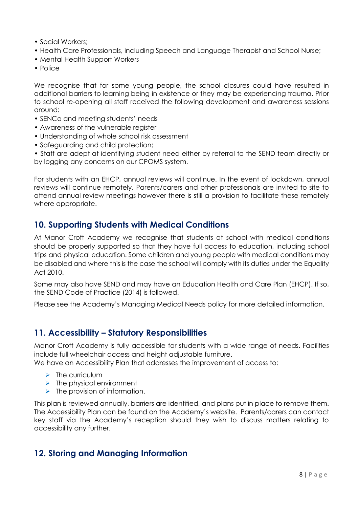- Social Workers;
- Health Care Professionals, including Speech and Language Therapist and School Nurse;
- Mental Health Support Workers
- Police

We recognise that for some young people, the school closures could have resulted in additional barriers to learning being in existence or they may be experiencing trauma. Prior to school re-opening all staff received the following development and awareness sessions around:

- SENCo and meeting students' needs
- Awareness of the vulnerable register
- Understanding of whole school risk assessment
- Safeguarding and child protection;

• Staff are adept at identifying student need either by referral to the SEND team directly or by logging any concerns on our CPOMS system.

For students with an EHCP, annual reviews will continue. In the event of lockdown, annual reviews will continue remotely. Parents/carers and other professionals are invited to site to attend annual review meetings however there is still a provision to facilitate these remotely where appropriate.

## **10. Supporting Students with Medical Conditions**

At Manor Croft Academy we recognise that students at school with medical conditions should be properly supported so that they have full access to education, including school trips and physical education. Some children and young people with medical conditions may be disabled and where this is the case the school will comply with its duties under the Equality Act 2010.

Some may also have SEND and may have an Education Health and Care Plan (EHCP). If so, the SEND Code of Practice (2014) is followed.

Please see the Academy's Managing Medical Needs policy for more detailed information.

### **11. Accessibility – Statutory Responsibilities**

Manor Croft Academy is fully accessible for students with a wide range of needs. Facilities include full wheelchair access and height adjustable furniture.

We have an Accessibility Plan that addresses the improvement of access to:

- $\triangleright$  The curriculum
- $\triangleright$  The physical environment
- $\triangleright$  The provision of information.

This plan is reviewed annually, barriers are identified, and plans put in place to remove them. The Accessibility Plan can be found on the Academy's website. Parents/carers can contact key staff via the Academy's reception should they wish to discuss matters relating to accessibility any further.

## **12. Storing and Managing Information**